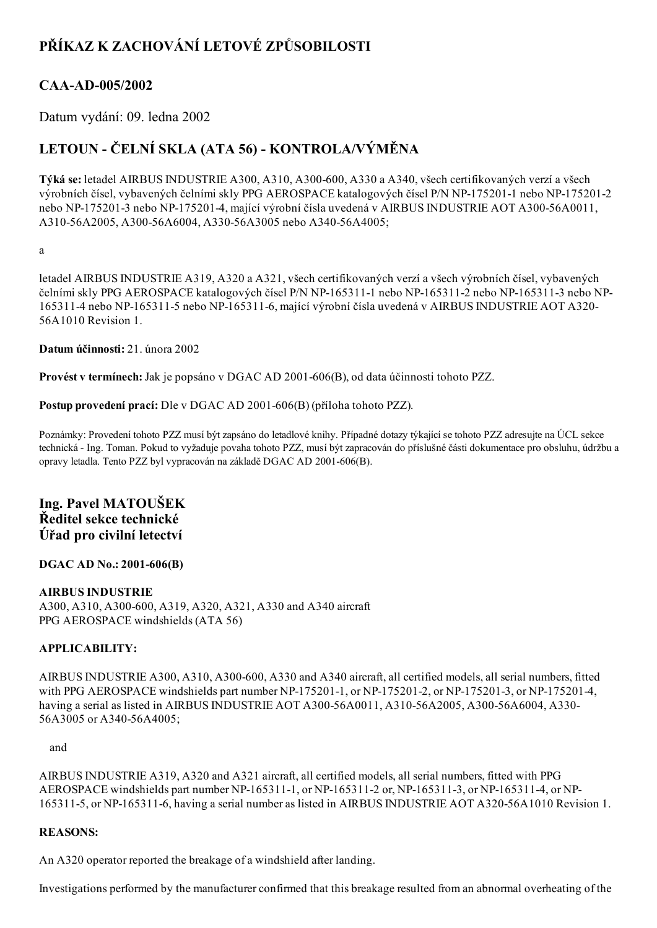# PŘÍKAZ K ZACHOVÁNÍ LETOVÉ ZPŮSOBILOSTI

## CAA-AD-005/2002

Datum vydání: 09. ledna 2002

# LETOUN - ČELNÍ SKLA (ATA 56) - KONTROLA/VÝMĚNA

Týká se: letadel AIRBUS INDUSTRIE A300, A310, A300-600, A330 a A340, všech certifikovaných verzí a všech výrobních čísel, vybavených čelními skly PPG AEROSPACE katalogových čísel P/N NP-175201-1 nebo NP-175201-2 nebo NP-175201-3 nebo NP-175201-4, mající výrobní čísla uvedená v AIRBUS INDUSTRIE AOT A300-56A0011, A310-56A2005, A300-56A6004, A330-56A3005 nebo A340-56A4005;

a

letadel AIRBUS INDUSTRIE A319, A320 a A321, všech certifikovaných verzí a všech výrobních čísel, vybavených čelními skly PPG AEROSPACE katalogových čísel P/N NP-165311-1 nebo NP-165311-2 nebo NP-165311-3 nebo NP-1653114 nebo NP1653115 nebo NP1653116, mající výrobní čísla uvedená v AIRBUS INDUSTRIE AOT A320 56A1010 Revision 1.

Datum účinnosti: 21. února 2002

Provést v termínech: Jak je popsáno v DGAC AD 2001-606(B), od data účinnosti tohoto PZZ.

Postup provedení prací: Dle v DGAC AD 2001-606(B) (příloha tohoto PZZ).

Poznámky: Provedení tohoto PZZ musí být zapsáno do letadlové knihy. Případné dotazy týkající se tohoto PZZ adresujte na ÚCL sekce technická Ing. Toman. Pokud to vyžaduje povaha tohoto PZZ, musí být zapracován do příslušné části dokumentace pro obsluhu, údržbu a opravy letadla. Tento PZZ byl vypracován na základě DGAC AD 2001-606(B).

## Ing. Pavel MATOUŠEK Ředitel sekce technické Úřad pro civilní letectví

### DGAC AD No.: 2001-606(B)

AIRBUS INDUSTRIE A300, A310, A300-600, A319, A320, A321, A330 and A340 aircraft PPG AEROSPACE windshields (ATA 56)

### APPLICABILITY:

AIRBUS INDUSTRIE A300, A310, A300-600, A330 and A340 aircraft, all certified models, all serial numbers, fitted with PPG AEROSPACE windshields part number NP-175201-1, or NP-175201-2, or NP-175201-3, or NP-175201-4, having a serial as listed in AIRBUS INDUSTRIE AOT A300-56A0011, A310-56A2005, A300-56A6004, A330-56A3005 or A340-56A4005;

#### and

AIRBUS INDUSTRIE A319, A320 and A321 aircraft, all certified models, all serial numbers, fitted with PPG AEROSPACE windshields part number NP-165311-1, or NP-165311-2 or, NP-165311-3, or NP-165311-4, or NP-165311-5, or NP-165311-6, having a serial number as listed in AIRBUS INDUSTRIE AOT A320-56A1010 Revision 1.

### REASONS:

An A320 operator reported the breakage of a windshield after landing.

Investigations performed by the manufacturer confirmed that this breakage resulted from an abnormal overheating of the